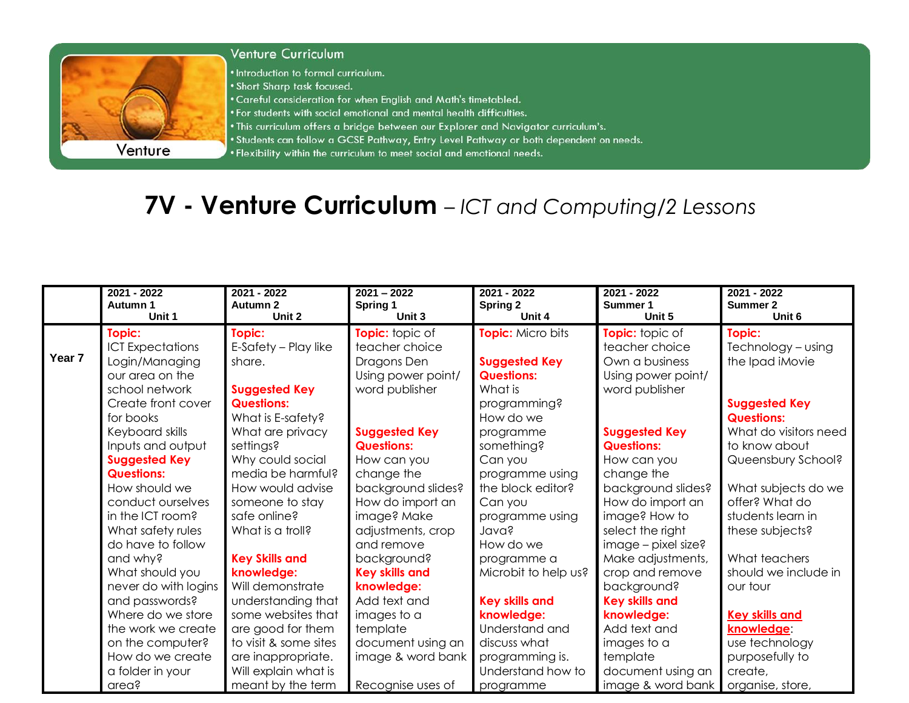

## **Venture Curriculum**

• Introduction to formal curriculum.

- . Short Sharp task focused.
- . Careful consideration for when English and Math's timetabled.
- . For students with social emotional and mental health difficulties.
- . This curriculum offers a bridge between our Explorer and Navigator curriculum's.
- . Students can follow a GCSE Pathway, Entry Level Pathway or both dependent on needs.
- . Flexibility within the curriculum to meet social and emotional needs.

## 7V - Venture Curriculum - ICT and Computing/2 Lessons

| Unit 6<br>Topic:            |
|-----------------------------|
|                             |
| Technology - using          |
| the Ipad iMovie             |
|                             |
|                             |
| <b>Suggested Key</b>        |
| <b>Questions:</b>           |
| What do visitors need       |
| to know about               |
| Queensbury School?          |
|                             |
| What subjects do we         |
| offer? What do              |
| students learn in           |
| these subjects?             |
|                             |
| What teachers               |
| should we include in        |
| our tour                    |
|                             |
| <b>Key skills and</b>       |
| knowledge:                  |
| use technology              |
| purposefully to             |
| create,<br>organise, store, |
|                             |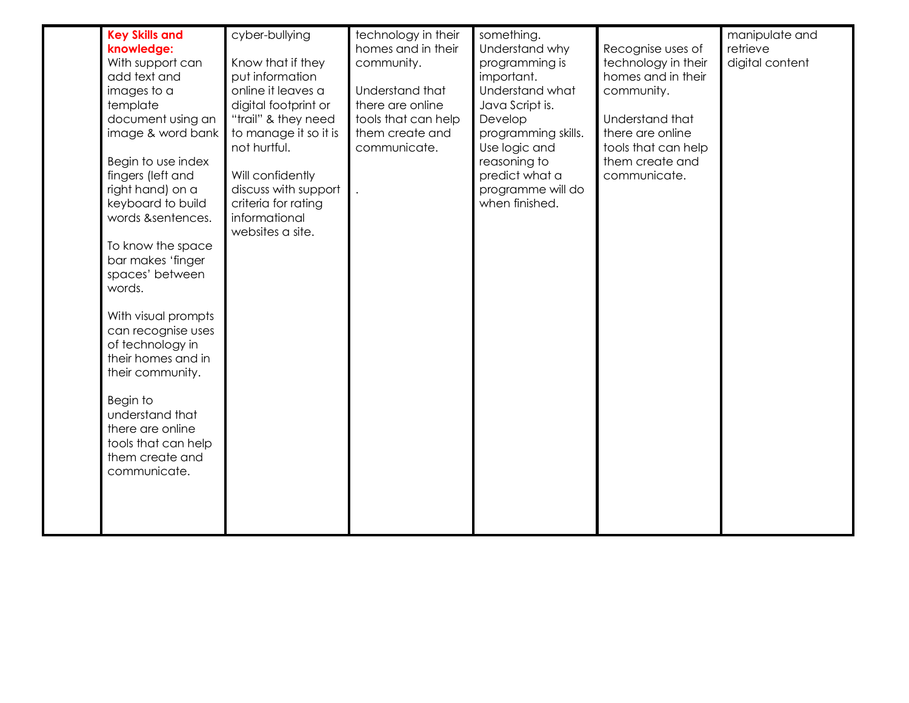| <b>Key Skills and</b><br>knowledge:<br>With support can<br>add text and<br>images to a<br>template<br>document using an<br>image & word bank<br>Begin to use index<br>fingers (left and<br>right hand) on a<br>keyboard to build<br>words &sentences.<br>To know the space<br>bar makes 'finger<br>spaces' between<br>words.<br>With visual prompts<br>can recognise uses<br>of technology in<br>their homes and in<br>their community.<br>Begin to<br>understand that<br>there are online<br>tools that can help<br>them create and<br>communicate. | cyber-bullying<br>Know that if they<br>put information<br>online it leaves a<br>digital footprint or<br>"trail" & they need<br>to manage it so it is<br>not hurtful.<br>Will confidently<br>discuss with support<br>criteria for rating<br>informational<br>websites a site. | technology in their<br>homes and in their<br>community.<br>Understand that<br>there are online<br>tools that can help<br>them create and<br>communicate. | something.<br>Understand why<br>programming is<br>important.<br>Understand what<br>Java Script is.<br>Develop<br>programming skills.<br>Use logic and<br>reasoning to<br>predict what a<br>programme will do<br>when finished. | Recognise uses of<br>technology in their<br>homes and in their<br>community.<br>Understand that<br>there are online<br>tools that can help<br>them create and<br>communicate. | manipulate and<br>retrieve<br>digital content |
|------------------------------------------------------------------------------------------------------------------------------------------------------------------------------------------------------------------------------------------------------------------------------------------------------------------------------------------------------------------------------------------------------------------------------------------------------------------------------------------------------------------------------------------------------|------------------------------------------------------------------------------------------------------------------------------------------------------------------------------------------------------------------------------------------------------------------------------|----------------------------------------------------------------------------------------------------------------------------------------------------------|--------------------------------------------------------------------------------------------------------------------------------------------------------------------------------------------------------------------------------|-------------------------------------------------------------------------------------------------------------------------------------------------------------------------------|-----------------------------------------------|
|------------------------------------------------------------------------------------------------------------------------------------------------------------------------------------------------------------------------------------------------------------------------------------------------------------------------------------------------------------------------------------------------------------------------------------------------------------------------------------------------------------------------------------------------------|------------------------------------------------------------------------------------------------------------------------------------------------------------------------------------------------------------------------------------------------------------------------------|----------------------------------------------------------------------------------------------------------------------------------------------------------|--------------------------------------------------------------------------------------------------------------------------------------------------------------------------------------------------------------------------------|-------------------------------------------------------------------------------------------------------------------------------------------------------------------------------|-----------------------------------------------|